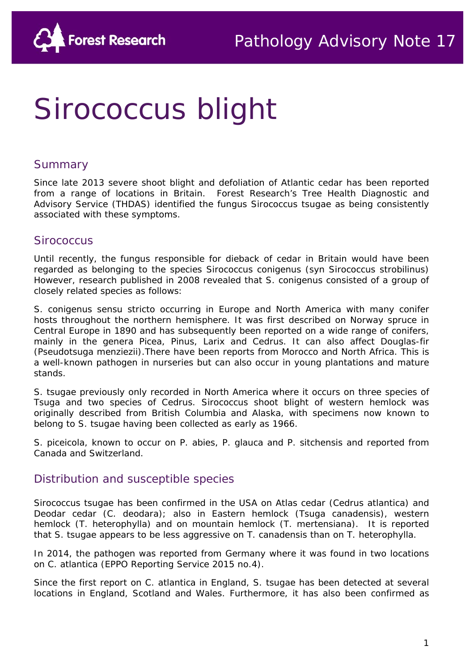# Sirococcus blight

#### Summary

Since late 2013 severe shoot blight and defoliation of Atlantic cedar has been reported from a range of locations in Britain. Forest Research's [Tree Health Diagnostic and](http://www.forestry.gov.uk/fr/INFD-5UWEY6)  [Advisory Service \(](http://www.forestry.gov.uk/fr/INFD-5UWEY6)THDAS) identified the fungus *Sirococcus tsugae* as being consistently associated with these symptoms.

#### *Sirococcus*

Until recently, the fungus responsible for dieback of cedar in Britain would have been regarded as belonging to the species *Sirococcus conigenus* (syn *Sirococcus strobilinus*) However, research published in 2008 revealed that *S. conigenus* consisted of a group of closely related species as follows:

*S. conigenus sensu stricto* occurring in Europe and North America with many conifer hosts throughout the northern hemisphere. It was first described on Norway spruce in Central Europe in 1890 and has subsequently been reported on a wide range of conifers, mainly in the genera *Picea*, *Pinus*, *Larix* and *Cedrus*. It can also affect Douglas-fir (*Pseudotsuga menziezii*).There have been reports from Morocco and North Africa. This is a well-known pathogen in nurseries but can also occur in young plantations and mature stands.

*S. tsugae* previously only recorded in North America where it occurs on three species of *Tsuga* and two species of *Cedrus*. Sirococcus shoot blight of western hemlock was originally described from British Columbia and Alaska, with specimens now known to belong to *S. tsugae* having been collected as early as 1966.

*S. piceicola*, known to occur on *P. abies, P. glauca* and *P. sitchensis* and reported from Canada and Switzerland.

## Distribution and susceptible species

*Sirococcus tsugae* has been confirmed in the USA on Atlas cedar (*Cedrus atlantica*) and Deodar cedar (*C. deodara*); also in Eastern hemlock (*Tsuga canadensis*), western hemlock (*T. heterophylla*) and on mountain hemlock (*T. mertensiana*). It is reported that *S. tsugae* appears to be less aggressive on *T. canadensis* than on *T. heterophylla*.

In 2014, the pathogen was reported from Germany where it was found in two locations on *C. atlantica* (EPPO Reporting Service 2015 no.4).

Since the first report on *C. atlantica* in England, *S. tsugae* has been detected at several locations in England, Scotland and Wales. Furthermore, it has also been confirmed as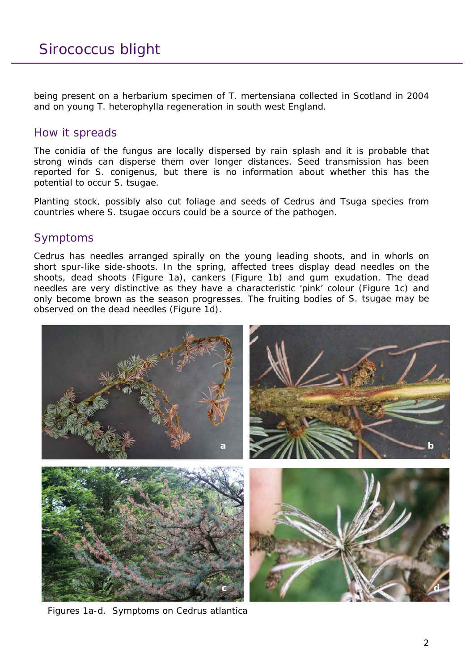being present on a herbarium specimen of *T. mertensiana* collected in Scotland in 2004 and on young *T. heterophylla* regeneration in south west England.

#### How it spreads

The conidia of the fungus are locally dispersed by rain splash and it is probable that strong winds can disperse them over longer distances. Seed transmission has been reported for *S. conigenus*, but there is no information about whether this has the potential to occur *S. tsugae*.

Planting stock, possibly also cut foliage and seeds of *Cedrus* and *Tsuga* species from countries where *S. tsugae* occurs could be a source of the pathogen.

## Symptoms

*Cedrus* has needles arranged spirally on the young leading shoots, and in whorls on short spur-like side-shoots. In the spring, affected trees display dead needles on the shoots, dead shoots (Figure 1a), cankers (Figure 1b) and gum exudation. The dead needles are very distinctive as they have a characteristic 'pink' colour (Figure 1c) and only become brown as the season progresses. The fruiting bodies of *S. tsugae* may be observed on the dead needles (Figure 1d).



Figures 1a-d. Symptoms on *Cedrus atlantica*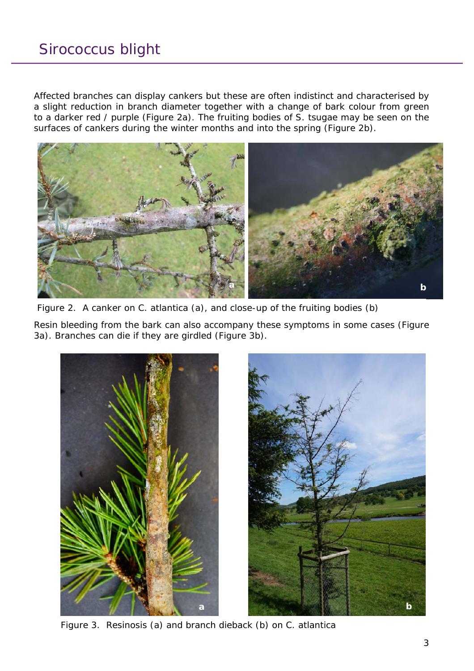Affected branches can display cankers but these are often indistinct and characterised by a slight reduction in branch diameter together with a change of bark colour from green to a darker red / purple (Figure 2a). The fruiting bodies of *S. tsugae* may be seen on the surfaces of cankers during the winter months and into the spring (Figure 2b).



Figure 2. A canker on *C. atlantica* (a), and close-up of the fruiting bodies (b)

Resin bleeding from the bark can also accompany these symptoms in some cases (Figure 3a). Branches can die if they are girdled (Figure 3b).



Figure 3. Resinosis (a) and branch dieback (b) on *C. atlantica*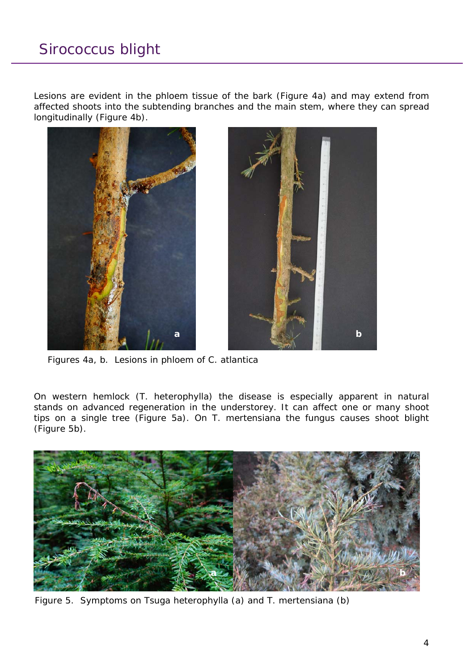Lesions are evident in the phloem tissue of the bark (Figure 4a) and may extend from affected shoots into the subtending branches and the main stem, where they can spread longitudinally (Figure 4b).



Figures 4a, b. Lesions in phloem of *C. atlantica*

On western hemlock (*T. heterophylla*) the disease is especially apparent in natural stands on advanced regeneration in the understorey. It can affect one or many shoot tips on a single tree (Figure 5a). On *T. mertensiana* the fungus causes shoot blight (Figure 5b).



Figure 5. Symptoms on *Tsuga heterophylla* (a) and *T. mertensiana* (b)